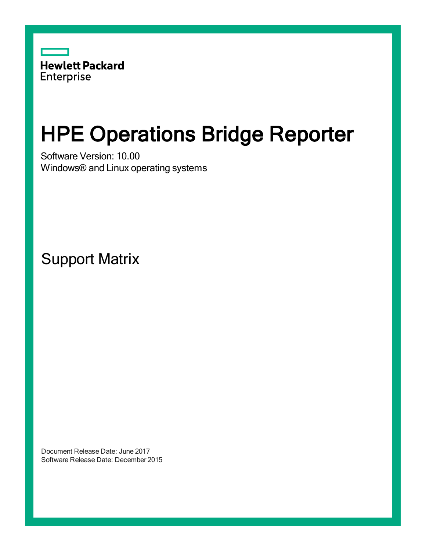

# HPE Operations Bridge Reporter

Software Version: 10.00 Windows® and Linux operating systems

Support Matrix

Document Release Date: June 2017 Software Release Date: December 2015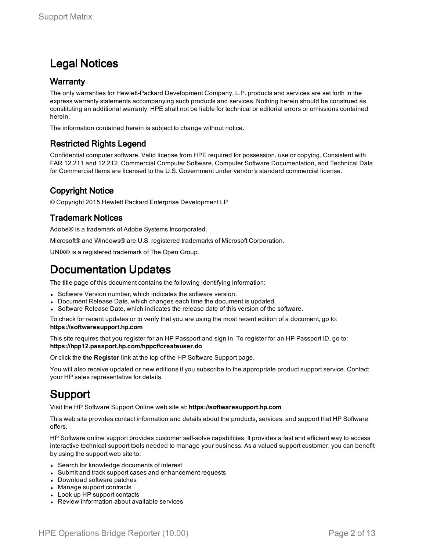### Legal Notices

#### **Warranty**

The only warranties for Hewlett-Packard Development Company, L.P. products and services are set forth in the express warranty statements accompanying such products and services. Nothing herein should be construed as constituting an additional warranty. HPE shall not be liable for technical or editorial errors or omissions contained herein.

The information contained herein is subject to change without notice.

#### Restricted Rights Legend

Confidential computer software. Valid license from HPE required for possession, use or copying. Consistent with FAR 12.211 and 12.212, Commercial Computer Software, Computer Software Documentation, and Technical Data for Commercial Items are licensed to the U.S. Government under vendor's standard commercial license.

### Copyright Notice

© Copyright 2015 Hewlett Packard Enterprise Development LP

#### Trademark Notices

Adobe® is a trademark of Adobe Systems Incorporated.

Microsoft® and Windows® are U.S. registered trademarks of Microsoft Corporation.

UNIX® is a registered trademark of The Open Group.

### Documentation Updates

The title page of this document contains the following identifying information:

- Software Version number, which indicates the software version.
- Document Release Date, which changes each time the document is updated.
- Software Release Date, which indicates the release date of this version of the software.

To check for recent updates or to verify that you are using the most recent edition of a document, go to: **https://softwaresupport.hp.com**

This site requires that you register for an HP Passport and sign in. To register for an HP Passport ID, go to: **https://hpp12.passport.hp.com/hppcf/createuser.do**

Or click the **the Register** link at the top of the HP Software Support page.

You will also receive updated or new editions if you subscribe to the appropriate product support service. Contact your HP sales representative for details.

### Support

Visit the HP Software Support Online web site at: **https://softwaresupport.hp.com**

This web site provides contact information and details about the products, services, and support that HP Software offers.

HP Software online support provides customer self-solve capabilities. It provides a fast and efficient way to access interactive technical support tools needed to manage your business. As a valued support customer, you can benefit by using the support web site to:

- Search for knowledge documents of interest
- Submit and track support cases and enhancement requests
- Download software patches
- Manage support contracts
- Look up HP support contacts
- Review information about available services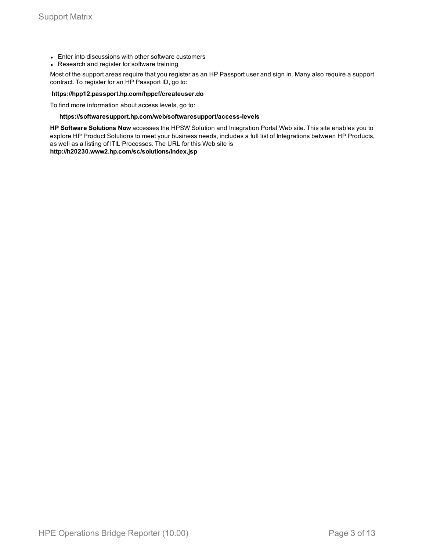- Enter into discussions with other software customers
- Research and register for software training

Most of the support areas require that you register as an HP Passport user and sign in. Many also require a support contract. To register for an HP Passport ID, go to:

#### **https://hpp12.passport.hp.com/hppcf/createuser.do**

To find more information about access levels, go to:

#### **https://softwaresupport.hp.com/web/softwaresupport/access-levels**

**HP Software Solutions Now** accesses the HPSW Solution and Integration Portal Web site. This site enables you to explore HP Product Solutions to meet your business needs, includes a full list of Integrations between HP Products, as well as a listing of ITIL Processes. The URL for this Web site is

**http://h20230.www2.hp.com/sc/solutions/index.jsp**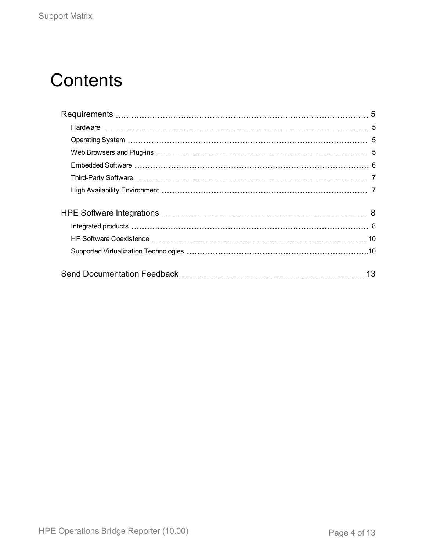# **Contents**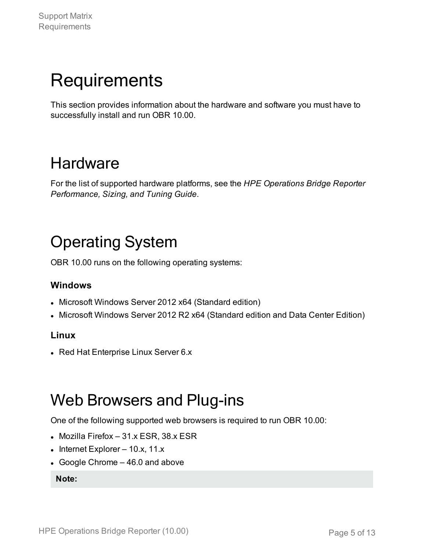# <span id="page-4-0"></span>**Requirements**

This section provides information about the hardware and software you must have to successfully install and run OBR 10.00.

### <span id="page-4-1"></span>**Hardware**

For the list of supported hardware platforms, see the *HPE Operations Bridge Reporter Performance, Sizing, and Tuning Guide*.

## <span id="page-4-2"></span>Operating System

OBR 10.00 runs on the following operating systems:

### **Windows**

- Microsoft Windows Server 2012 x64 (Standard edition)
- Microsoft Windows Server 2012 R2 x64 (Standard edition and Data Center Edition)

### **Linux**

• Red Hat Enterprise Linux Server 6.x

### <span id="page-4-3"></span>Web Browsers and Plug-ins

One of the following supported web browsers is required to run OBR 10.00:

- $\bullet$  Mozilla Firefox 31.x ESR, 38.x ESR
- Internet Explorer  $10.x$ ,  $11.x$
- Google Chrome  $-46.0$  and above

**Note:**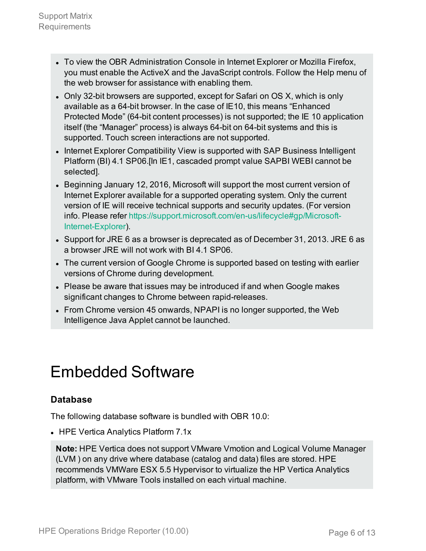- To view the OBR Administration Console in Internet Explorer or Mozilla Firefox, you must enable the ActiveX and the JavaScript controls. Follow the Help menu of the web browser for assistance with enabling them.
- Only 32-bit browsers are supported, except for Safari on OS X, which is only available as a 64-bit browser. In the case of IE10, this means "Enhanced Protected Mode" (64-bit content processes) is not supported; the IE 10 application itself (the "Manager" process) is always 64-bit on 64-bit systems and this is supported. Touch screen interactions are not supported.
- Internet Explorer Compatibility View is supported with SAP Business Intelligent Platform (BI) 4.1 SP06.[In IE1, cascaded prompt value SAPBI WEBI cannot be selected].
- Beginning January 12, 2016, Microsoft will support the most current version of Internet Explorer available for a supported operating system. Only the current version of IE will receive technical supports and security updates. (For version info. Please refer [https://support.microsoft.com/en-us/lifecycle#gp/Microsoft-](https://support.microsoft.com/en-us/lifecycle#gp/Microsoft-Internet-Explorer)[Internet-Explorer\)](https://support.microsoft.com/en-us/lifecycle#gp/Microsoft-Internet-Explorer).
- Support for JRE 6 as a browser is deprecated as of December 31, 2013. JRE 6 as a browser JRE will not work with BI 4.1 SP06.
- The current version of Google Chrome is supported based on testing with earlier versions of Chrome during development.
- Please be aware that issues may be introduced if and when Google makes significant changes to Chrome between rapid-releases.
- From Chrome version 45 onwards, NPAPI is no longer supported, the Web Intelligence Java Applet cannot be launched.

## <span id="page-5-0"></span>Embedded Software

### **Database**

The following database software is bundled with OBR 10.0:

• HPE Vertica Analytics Platform 7.1x

**Note:** HPE Vertica does not support VMware Vmotion and Logical Volume Manager (LVM ) on any drive where database (catalog and data) files are stored. HPE recommends VMWare ESX 5.5 Hypervisor to virtualize the HP Vertica Analytics platform, with VMware Tools installed on each virtual machine.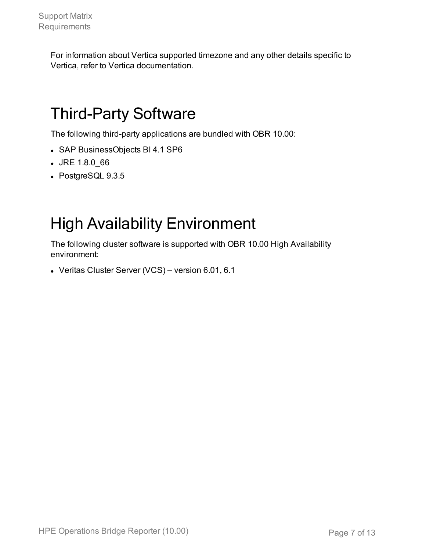For information about Vertica supported timezone and any other details specific to Vertica, refer to Vertica documentation.

## <span id="page-6-0"></span>Third-Party Software

The following third-party applications are bundled with OBR 10.00:

- SAP BusinessObjects BI 4.1 SP6
- <sup>l</sup> JRE 1.8.0\_66
- PostgreSQL 9.3.5

## <span id="page-6-1"></span>High Availability Environment

The following cluster software is supported with OBR 10.00 High Availability environment:

- Veritas Cluster Server (VCS) – version  $6.01, 6.1$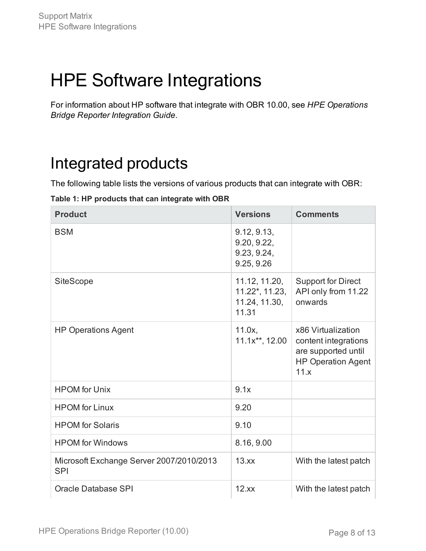# <span id="page-7-0"></span>HPE Software Integrations

For information about HP software that integrate with OBR 10.00, see *HPE Operations Bridge Reporter Integration Guide*.

### <span id="page-7-1"></span>Integrated products

The following table lists the versions of various products that can integrate with OBR:

#### **Table 1: HP products that can integrate with OBR**

| <b>Product</b>                                         | <b>Versions</b>                                           | <b>Comments</b>                                                                                        |
|--------------------------------------------------------|-----------------------------------------------------------|--------------------------------------------------------------------------------------------------------|
| <b>BSM</b>                                             | 9.12, 9.13,<br>9.20, 9.22,<br>9.23, 9.24,<br>9.25, 9.26   |                                                                                                        |
| <b>SiteScope</b>                                       | 11.12, 11.20,<br>11.22*, 11.23,<br>11.24, 11.30,<br>11.31 | <b>Support for Direct</b><br>API only from 11.22<br>onwards                                            |
| <b>HP Operations Agent</b>                             | 11.0x,<br>11.1x**, 12.00                                  | x86 Virtualization<br>content integrations<br>are supported until<br><b>HP Operation Agent</b><br>11.x |
| <b>HPOM</b> for Unix                                   | 9.1x                                                      |                                                                                                        |
| <b>HPOM</b> for Linux                                  | 9.20                                                      |                                                                                                        |
| <b>HPOM</b> for Solaris                                | 9.10                                                      |                                                                                                        |
| <b>HPOM</b> for Windows                                | 8.16, 9.00                                                |                                                                                                        |
| Microsoft Exchange Server 2007/2010/2013<br><b>SPI</b> | 13.xx                                                     | With the latest patch                                                                                  |
| Oracle Database SPI                                    | 12.xx                                                     | With the latest patch                                                                                  |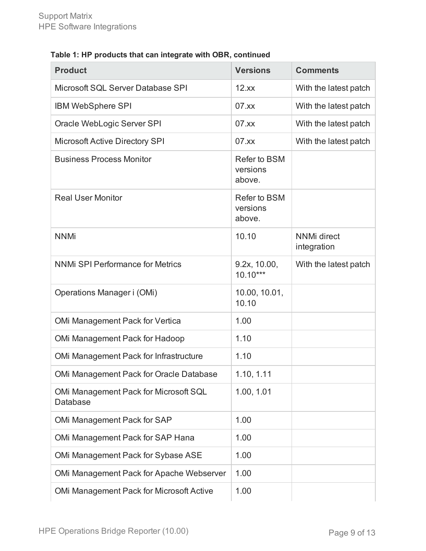### **Table 1: HP products that can integrate with OBR, continued**

| <b>Product</b>                                           | <b>Versions</b>                    | <b>Comments</b>                   |
|----------------------------------------------------------|------------------------------------|-----------------------------------|
| Microsoft SQL Server Database SPI                        | 12.xx                              | With the latest patch             |
| <b>IBM WebSphere SPI</b>                                 | 07.xx                              | With the latest patch             |
| Oracle WebLogic Server SPI                               | 07.xx                              | With the latest patch             |
| <b>Microsoft Active Directory SPI</b>                    | 07.xx                              | With the latest patch             |
| <b>Business Process Monitor</b>                          | Refer to BSM<br>versions<br>above. |                                   |
| <b>Real User Monitor</b>                                 | Refer to BSM<br>versions<br>above. |                                   |
| <b>NNMi</b>                                              | 10.10                              | <b>NNMi</b> direct<br>integration |
| <b>NNMi SPI Performance for Metrics</b>                  | 9.2x, 10.00,<br>$10.10***$         | With the latest patch             |
| Operations Manager i (OMi)                               | 10.00, 10.01,<br>10.10             |                                   |
| OMi Management Pack for Vertica                          | 1.00                               |                                   |
| OMi Management Pack for Hadoop                           | 1.10                               |                                   |
| OMi Management Pack for Infrastructure                   | 1.10                               |                                   |
| OMi Management Pack for Oracle Database                  | 1.10, 1.11                         |                                   |
| OMi Management Pack for Microsoft SQL<br><b>Database</b> | 1.00, 1.01                         |                                   |
| OMi Management Pack for SAP                              | 1.00                               |                                   |
| OMi Management Pack for SAP Hana                         | 1.00                               |                                   |
| OMi Management Pack for Sybase ASE                       | 1.00                               |                                   |
| OMi Management Pack for Apache Webserver                 | 1.00                               |                                   |
| <b>OMi Management Pack for Microsoft Active</b>          | 1.00                               |                                   |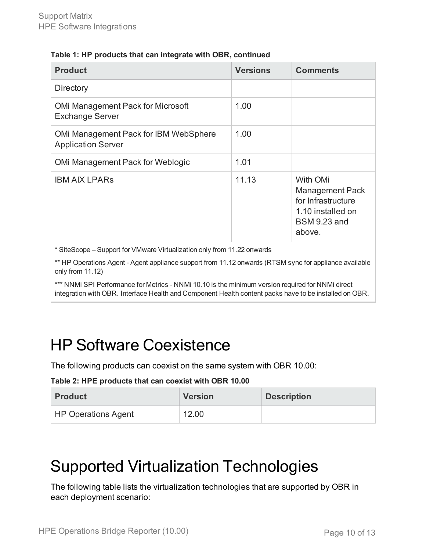#### **Table 1: HP products that can integrate with OBR, continued**

| <b>Product</b>                                                     | <b>Versions</b> | <b>Comments</b>                                                                                                |
|--------------------------------------------------------------------|-----------------|----------------------------------------------------------------------------------------------------------------|
| Directory                                                          |                 |                                                                                                                |
| <b>OMi Management Pack for Microsoft</b><br><b>Exchange Server</b> | 1.00            |                                                                                                                |
| OMi Management Pack for IBM WebSphere<br><b>Application Server</b> | 1.00            |                                                                                                                |
| OMi Management Pack for Weblogic                                   | 1.01            |                                                                                                                |
| <b>IBM AIX LPARS</b>                                               | 11.13           | With OMi<br><b>Management Pack</b><br>for Infrastructure<br>1.10 installed on<br><b>BSM 9.23 and</b><br>above. |

\* SiteScope – Support for VMware Virtualization only from 11.22 onwards

\*\* HP Operations Agent - Agent appliance support from 11.12 onwards (RTSM sync for appliance available only from 11.12)

\*\*\* NNMi SPI Performance for Metrics - NNMi 10.10 is the minimum version required for NNMi direct integration with OBR. Interface Health and Component Health content packs have to be installed on OBR.

## <span id="page-9-0"></span>HP Software Coexistence

The following products can coexist on the same system with OBR 10.00:

#### **Table 2: HPE products that can coexist with OBR 10.00**

| <b>Product</b>             | <b>Version</b> | <b>Description</b> |
|----------------------------|----------------|--------------------|
| <b>HP Operations Agent</b> | 12.00          |                    |

### <span id="page-9-1"></span>Supported Virtualization Technologies

The following table lists the virtualization technologies that are supported by OBR in each deployment scenario: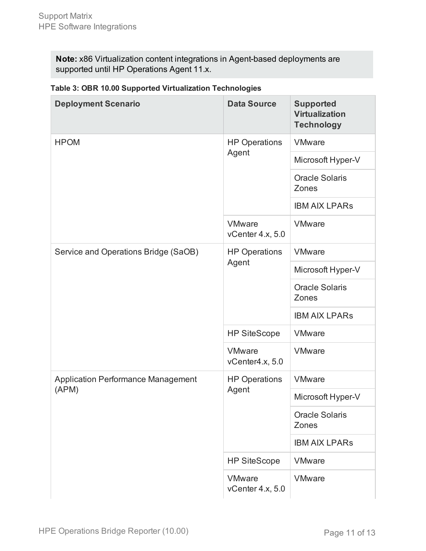**Note:** x86 Virtualization content integrations in Agent-based deployments are supported until HP Operations Agent 11.x.

| <b>Deployment Scenario</b>                         | <b>Data Source</b>                | <b>Supported</b><br><b>Virtualization</b><br><b>Technology</b> |
|----------------------------------------------------|-----------------------------------|----------------------------------------------------------------|
| <b>HPOM</b>                                        | <b>HP Operations</b><br>Agent     | <b>VMware</b>                                                  |
|                                                    |                                   | Microsoft Hyper-V                                              |
|                                                    |                                   | <b>Oracle Solaris</b><br>Zones                                 |
|                                                    |                                   | <b>IBM AIX LPARS</b>                                           |
|                                                    | <b>VMware</b><br>vCenter 4.x, 5.0 | <b>VMware</b>                                                  |
| Service and Operations Bridge (SaOB)               | <b>HP Operations</b>              | <b>VMware</b>                                                  |
|                                                    | Agent                             | Microsoft Hyper-V                                              |
|                                                    |                                   | <b>Oracle Solaris</b><br>Zones                                 |
|                                                    |                                   | <b>IBM AIX LPARS</b>                                           |
|                                                    | <b>HP SiteScope</b>               | <b>VMware</b>                                                  |
|                                                    | <b>VMware</b><br>vCenter4.x, 5.0  | <b>VMware</b>                                                  |
| <b>Application Performance Management</b><br>(APM) | <b>HP Operations</b><br>Agent     | <b>VMware</b>                                                  |
|                                                    |                                   | Microsoft Hyper-V                                              |
|                                                    |                                   | <b>Oracle Solaris</b><br>Zones                                 |
|                                                    |                                   | <b>IBM AIX LPARS</b>                                           |
|                                                    | <b>HP SiteScope</b>               | <b>VMware</b>                                                  |
|                                                    | <b>VMware</b><br>vCenter 4.x, 5.0 | <b>VMware</b>                                                  |

#### **Table 3: OBR 10.00 Supported Virtualization Technologies**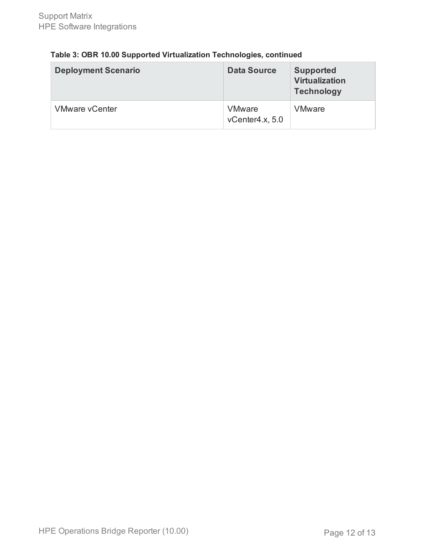| Table 3: OBR 10.00 Supported Virtualization Technologies, continued |
|---------------------------------------------------------------------|
|---------------------------------------------------------------------|

| <b>Deployment Scenario</b> | <b>Data Source</b>               | <b>Supported</b><br><b>Virtualization</b><br><b>Technology</b> |
|----------------------------|----------------------------------|----------------------------------------------------------------|
| <b>VMware vCenter</b>      | <b>VMware</b><br>vCenter4.x, 5.0 | <b>VMware</b>                                                  |